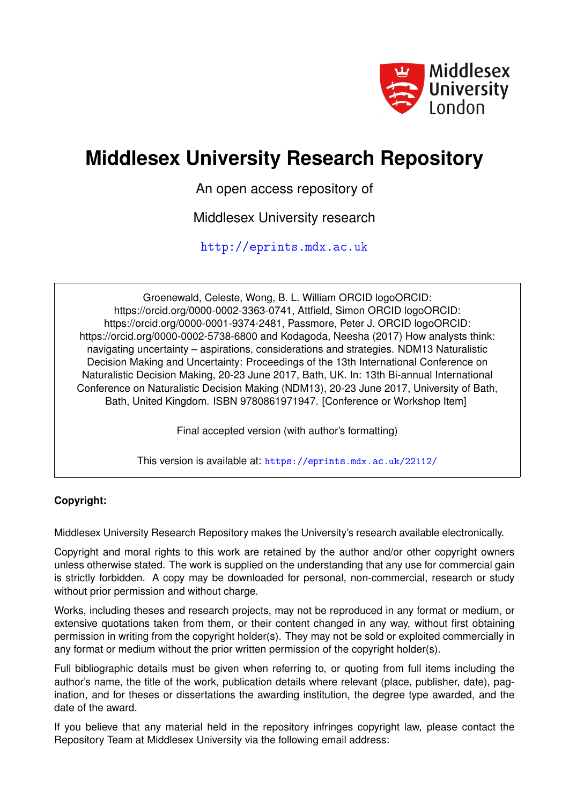

# **Middlesex University Research Repository**

An open access repository of

Middlesex University research

<http://eprints.mdx.ac.uk>

Groenewald, Celeste, Wong, B. L. William ORCID logoORCID: https://orcid.org/0000-0002-3363-0741, Attfield, Simon ORCID logoORCID: https://orcid.org/0000-0001-9374-2481, Passmore, Peter J. ORCID logoORCID: https://orcid.org/0000-0002-5738-6800 and Kodagoda, Neesha (2017) How analysts think: navigating uncertainty – aspirations, considerations and strategies. NDM13 Naturalistic Decision Making and Uncertainty: Proceedings of the 13th International Conference on Naturalistic Decision Making, 20-23 June 2017, Bath, UK. In: 13th Bi-annual International Conference on Naturalistic Decision Making (NDM13), 20-23 June 2017, University of Bath, Bath, United Kingdom. ISBN 9780861971947. [Conference or Workshop Item]

Final accepted version (with author's formatting)

This version is available at: <https://eprints.mdx.ac.uk/22112/>

### **Copyright:**

Middlesex University Research Repository makes the University's research available electronically.

Copyright and moral rights to this work are retained by the author and/or other copyright owners unless otherwise stated. The work is supplied on the understanding that any use for commercial gain is strictly forbidden. A copy may be downloaded for personal, non-commercial, research or study without prior permission and without charge.

Works, including theses and research projects, may not be reproduced in any format or medium, or extensive quotations taken from them, or their content changed in any way, without first obtaining permission in writing from the copyright holder(s). They may not be sold or exploited commercially in any format or medium without the prior written permission of the copyright holder(s).

Full bibliographic details must be given when referring to, or quoting from full items including the author's name, the title of the work, publication details where relevant (place, publisher, date), pagination, and for theses or dissertations the awarding institution, the degree type awarded, and the date of the award.

If you believe that any material held in the repository infringes copyright law, please contact the Repository Team at Middlesex University via the following email address: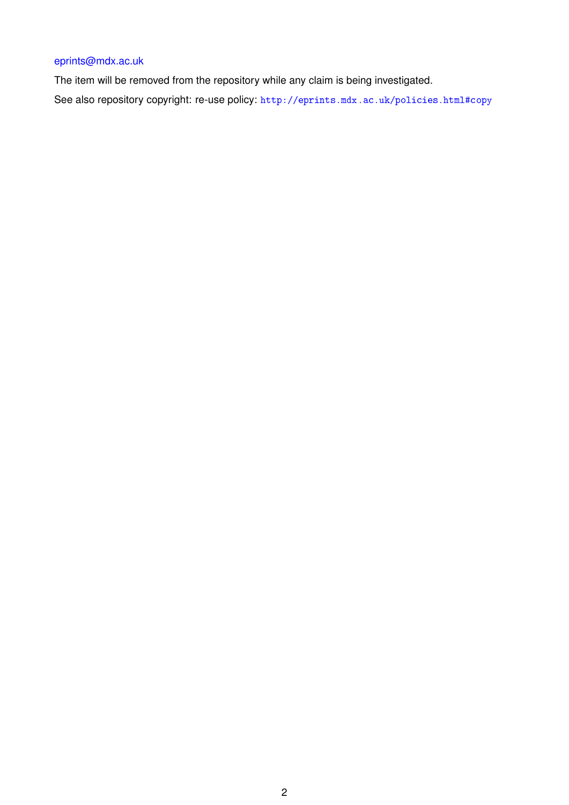## [eprints@mdx.ac.uk](mailto:eprints@mdx.ac.uk)

The item will be removed from the repository while any claim is being investigated. See also repository copyright: re-use policy: <http://eprints.mdx.ac.uk/policies.html#copy>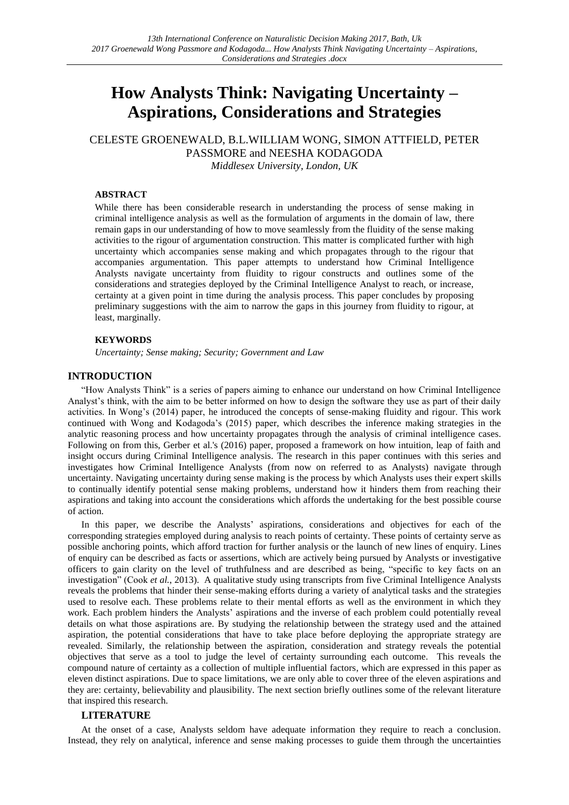## **How Analysts Think: Navigating Uncertainty – Aspirations, Considerations and Strategies**

## CELESTE GROENEWALD, B.L.WILLIAM WONG, SIMON ATTFIELD, PETER PASSMORE and NEESHA KODAGODA

*Middlesex University, London, UK*

#### **ABSTRACT**

While there has been considerable research in understanding the process of sense making in criminal intelligence analysis as well as the formulation of arguments in the domain of law, there remain gaps in our understanding of how to move seamlessly from the fluidity of the sense making activities to the rigour of argumentation construction. This matter is complicated further with high uncertainty which accompanies sense making and which propagates through to the rigour that accompanies argumentation. This paper attempts to understand how Criminal Intelligence Analysts navigate uncertainty from fluidity to rigour constructs and outlines some of the considerations and strategies deployed by the Criminal Intelligence Analyst to reach, or increase, certainty at a given point in time during the analysis process. This paper concludes by proposing preliminary suggestions with the aim to narrow the gaps in this journey from fluidity to rigour, at least, marginally.

#### **KEYWORDS**

*Uncertainty; Sense making; Security; Government and Law*

#### **INTRODUCTION**

"How Analysts Think" is a series of papers aiming to enhance our understand on how Criminal Intelligence Analyst's think, with the aim to be better informed on how to design the software they use as part of their daily activities. In Wong's (2014) paper, he introduced the concepts of sense-making fluidity and rigour. This work continued with Wong and Kodagoda's (2015) paper, which describes the inference making strategies in the analytic reasoning process and how uncertainty propagates through the analysis of criminal intelligence cases. Following on from this, Gerber et al.'s (2016) paper, proposed a framework on how intuition, leap of faith and insight occurs during Criminal Intelligence analysis. The research in this paper continues with this series and investigates how Criminal Intelligence Analysts (from now on referred to as Analysts) navigate through uncertainty. Navigating uncertainty during sense making is the process by which Analysts uses their expert skills to continually identify potential sense making problems, understand how it hinders them from reaching their aspirations and taking into account the considerations which affords the undertaking for the best possible course of action.

In this paper, we describe the Analysts' aspirations, considerations and objectives for each of the corresponding strategies employed during analysis to reach points of certainty. These points of certainty serve as possible anchoring points, which afford traction for further analysis or the launch of new lines of enquiry. Lines of enquiry can be described as facts or assertions, which are actively being pursued by Analysts or investigative officers to gain clarity on the level of truthfulness and are described as being, "specific to key facts on an investigation" (Cook *et al.*, 2013). A qualitative study using transcripts from five Criminal Intelligence Analysts reveals the problems that hinder their sense-making efforts during a variety of analytical tasks and the strategies used to resolve each. These problems relate to their mental efforts as well as the environment in which they work. Each problem hinders the Analysts' aspirations and the inverse of each problem could potentially reveal details on what those aspirations are. By studying the relationship between the strategy used and the attained aspiration, the potential considerations that have to take place before deploying the appropriate strategy are revealed. Similarly, the relationship between the aspiration, consideration and strategy reveals the potential objectives that serve as a tool to judge the level of certainty surrounding each outcome. This reveals the compound nature of certainty as a collection of multiple influential factors, which are expressed in this paper as eleven distinct aspirations. Due to space limitations, we are only able to cover three of the eleven aspirations and they are: certainty, believability and plausibility. The next section briefly outlines some of the relevant literature that inspired this research.

#### **LITERATURE**

At the onset of a case, Analysts seldom have adequate information they require to reach a conclusion. Instead, they rely on analytical, inference and sense making processes to guide them through the uncertainties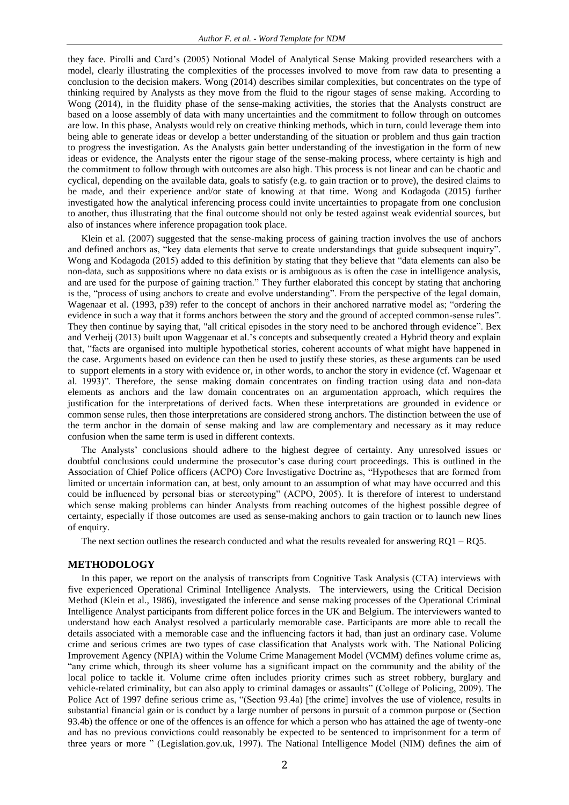they face. Pirolli and Card's (2005) Notional Model of Analytical Sense Making provided researchers with a model, clearly illustrating the complexities of the processes involved to move from raw data to presenting a conclusion to the decision makers. Wong (2014) describes similar complexities, but concentrates on the type of thinking required by Analysts as they move from the fluid to the rigour stages of sense making. According to Wong (2014), in the fluidity phase of the sense-making activities, the stories that the Analysts construct are based on a loose assembly of data with many uncertainties and the commitment to follow through on outcomes are low. In this phase, Analysts would rely on creative thinking methods, which in turn, could leverage them into being able to generate ideas or develop a better understanding of the situation or problem and thus gain traction to progress the investigation. As the Analysts gain better understanding of the investigation in the form of new ideas or evidence, the Analysts enter the rigour stage of the sense-making process, where certainty is high and the commitment to follow through with outcomes are also high. This process is not linear and can be chaotic and cyclical, depending on the available data, goals to satisfy (e.g. to gain traction or to prove), the desired claims to be made, and their experience and/or state of knowing at that time. Wong and Kodagoda (2015) further investigated how the analytical inferencing process could invite uncertainties to propagate from one conclusion to another, thus illustrating that the final outcome should not only be tested against weak evidential sources, but also of instances where inference propagation took place.

Klein et al. (2007) suggested that the sense-making process of gaining traction involves the use of anchors and defined anchors as, "key data elements that serve to create understandings that guide subsequent inquiry". Wong and Kodagoda (2015) added to this definition by stating that they believe that "data elements can also be non-data, such as suppositions where no data exists or is ambiguous as is often the case in intelligence analysis, and are used for the purpose of gaining traction." They further elaborated this concept by stating that anchoring is the, "process of using anchors to create and evolve understanding". From the perspective of the legal domain, Wagenaar et al. (1993, p39) refer to the concept of anchors in their anchored narrative model as; "ordering the evidence in such a way that it forms anchors between the story and the ground of accepted common-sense rules". They then continue by saying that, "all critical episodes in the story need to be anchored through evidence". Bex and Verheij (2013) built upon Waggenaar et al.'s concepts and subsequently created a Hybrid theory and explain that, "facts are organised into multiple hypothetical stories, coherent accounts of what might have happened in the case. Arguments based on evidence can then be used to justify these stories, as these arguments can be used to support elements in a story with evidence or, in other words, to anchor the story in evidence (cf. Wagenaar et al. 1993)". Therefore, the sense making domain concentrates on finding traction using data and non-data elements as anchors and the law domain concentrates on an argumentation approach, which requires the justification for the interpretations of derived facts. When these interpretations are grounded in evidence or common sense rules, then those interpretations are considered strong anchors. The distinction between the use of the term anchor in the domain of sense making and law are complementary and necessary as it may reduce confusion when the same term is used in different contexts.

The Analysts' conclusions should adhere to the highest degree of certainty. Any unresolved issues or doubtful conclusions could undermine the prosecutor's case during court proceedings. This is outlined in the Association of Chief Police officers (ACPO) Core Investigative Doctrine as, "Hypotheses that are formed from limited or uncertain information can, at best, only amount to an assumption of what may have occurred and this could be influenced by personal bias or stereotyping" (ACPO, 2005). It is therefore of interest to understand which sense making problems can hinder Analysts from reaching outcomes of the highest possible degree of certainty, especially if those outcomes are used as sense-making anchors to gain traction or to launch new lines of enquiry.

The next section outlines the research conducted and what the results revealed for answering RQ1 – RQ5.

#### **METHODOLOGY**

In this paper, we report on the analysis of transcripts from Cognitive Task Analysis (CTA) interviews with five experienced Operational Criminal Intelligence Analysts. The interviewers, using the Critical Decision Method (Klein et al., 1986), investigated the inference and sense making processes of the Operational Criminal Intelligence Analyst participants from different police forces in the UK and Belgium. The interviewers wanted to understand how each Analyst resolved a particularly memorable case. Participants are more able to recall the details associated with a memorable case and the influencing factors it had, than just an ordinary case. Volume crime and serious crimes are two types of case classification that Analysts work with. The National Policing Improvement Agency (NPIA) within the Volume Crime Management Model (VCMM) defines volume crime as, "any crime which, through its sheer volume has a significant impact on the community and the ability of the local police to tackle it. Volume crime often includes priority crimes such as street robbery, burglary and vehicle-related criminality, but can also apply to criminal damages or assaults" (College of Policing, 2009). The Police Act of 1997 define serious crime as, "(Section 93.4a) [the crime] involves the use of violence, results in substantial financial gain or is conduct by a large number of persons in pursuit of a common purpose or (Section 93.4b) the offence or one of the offences is an offence for which a person who has attained the age of twenty-one and has no previous convictions could reasonably be expected to be sentenced to imprisonment for a term of three years or more " (Legislation.gov.uk, 1997). The National Intelligence Model (NIM) defines the aim of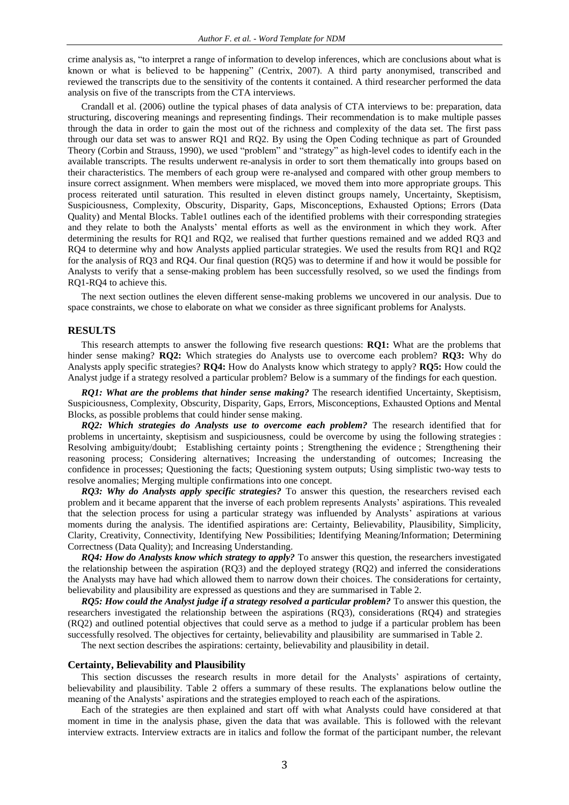crime analysis as, "to interpret a range of information to develop inferences, which are conclusions about what is known or what is believed to be happening" (Centrix, 2007). A third party anonymised, transcribed and reviewed the transcripts due to the sensitivity of the contents it contained. A third researcher performed the data analysis on five of the transcripts from the CTA interviews.

Crandall et al. (2006) outline the typical phases of data analysis of CTA interviews to be: preparation, data structuring, discovering meanings and representing findings. Their recommendation is to make multiple passes through the data in order to gain the most out of the richness and complexity of the data set. The first pass through our data set was to answer RQ1 and RQ2. By using the Open Coding technique as part of Grounded Theory (Corbin and Strauss, 1990), we used "problem" and "strategy" as high-level codes to identify each in the available transcripts. The results underwent re-analysis in order to sort them thematically into groups based on their characteristics. The members of each group were re-analysed and compared with other group members to insure correct assignment. When members were misplaced, we moved them into more appropriate groups. This process reiterated until saturation. This resulted in eleven distinct groups namely, Uncertainty, Skeptisism, Suspiciousness, Complexity, Obscurity, Disparity, Gaps, Misconceptions, Exhausted Options; Errors (Data Quality) and Mental Blocks. Table1 outlines each of the identified problems with their corresponding strategies and they relate to both the Analysts' mental efforts as well as the environment in which they work. After determining the results for RQ1 and RQ2, we realised that further questions remained and we added RQ3 and RQ4 to determine why and how Analysts applied particular strategies. We used the results from RQ1 and RQ2 for the analysis of RQ3 and RQ4. Our final question (RQ5) was to determine if and how it would be possible for Analysts to verify that a sense-making problem has been successfully resolved, so we used the findings from RQ1-RQ4 to achieve this.

The next section outlines the eleven different sense-making problems we uncovered in our analysis. Due to space constraints, we chose to elaborate on what we consider as three significant problems for Analysts.

#### **RESULTS**

This research attempts to answer the following five research questions: **RQ1:** What are the problems that hinder sense making? **RQ2:** Which strategies do Analysts use to overcome each problem? **RQ3:** Why do Analysts apply specific strategies? **RQ4:** How do Analysts know which strategy to apply? **RQ5:** How could the Analyst judge if a strategy resolved a particular problem? Below is a summary of the findings for each question.

*RQ1: What are the problems that hinder sense making?* The research identified Uncertainty, Skeptisism, Suspiciousness, Complexity, Obscurity, Disparity, Gaps, Errors, Misconceptions, Exhausted Options and Mental Blocks, as possible problems that could hinder sense making*.*

*RQ2: Which strategies do Analysts use to overcome each problem?* The research identified that for problems in uncertainty, skeptisism and suspiciousness, could be overcome by using the following strategies : Resolving ambiguity/doubt; Establishing certainty points ; Strengthening the evidence ; Strengthening their reasoning process; Considering alternatives; Increasing the understanding of outcomes; Increasing the confidence in processes; Questioning the facts; Questioning system outputs; Using simplistic two-way tests to resolve anomalies; Merging multiple confirmations into one concept.

*RQ3: Why do Analysts apply specific strategies?* To answer this question, the researchers revised each problem and it became apparent that the inverse of each problem represents Analysts' aspirations. This revealed that the selection process for using a particular strategy was influended by Analysts' aspirations at various moments during the analysis. The identified aspirations are: Certainty, Believability, Plausibility, Simplicity, Clarity, Creativity, Connectivity, Identifying New Possibilities; Identifying Meaning/Information; Determining Correctness (Data Quality); and Increasing Understanding.

*RQ4: How do Analysts know which strategy to apply?* To answer this question, the researchers investigated the relationship between the aspiration (RQ3) and the deployed strategy (RQ2) and inferred the considerations the Analysts may have had which allowed them to narrow down their choices. The considerations for certainty, believability and plausibility are expressed as questions and they are summarised in Table 2.

*RQ5: How could the Analyst judge if a strategy resolved a particular problem?* To answer this question, the researchers investigated the relationship between the aspirations (RQ3), considerations (RQ4) and strategies (RQ2) and outlined potential objectives that could serve as a method to judge if a particular problem has been successfully resolved. The objectives for certainty, believability and plausibility are summarised in Table 2.

The next section describes the aspirations: certainty, believability and plausibility in detail.

#### **Certainty, Believability and Plausibility**

This section discusses the research results in more detail for the Analysts' aspirations of certainty, believability and plausibility. Table 2 offers a summary of these results. The explanations below outline the meaning of the Analysts' aspirations and the strategies employed to reach each of the aspirations.

Each of the strategies are then explained and start off with what Analysts could have considered at that moment in time in the analysis phase, given the data that was available. This is followed with the relevant interview extracts. Interview extracts are in italics and follow the format of the participant number, the relevant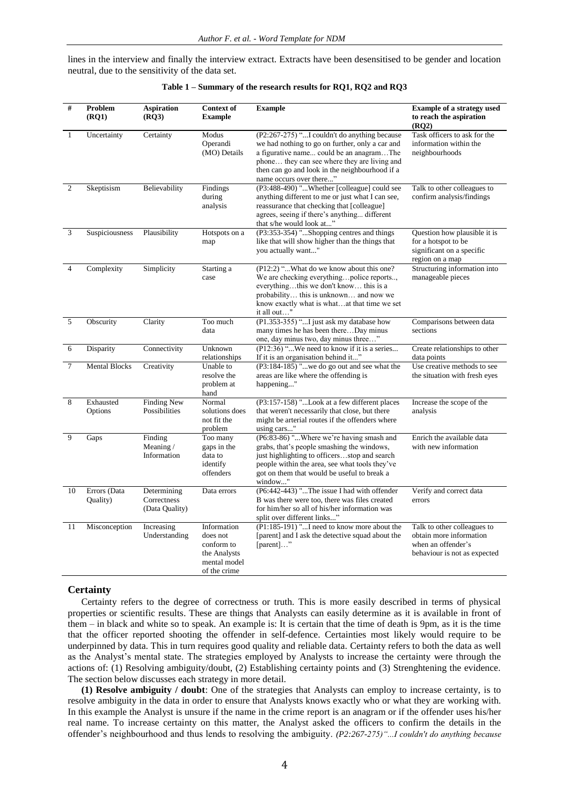lines in the interview and finally the interview extract. Extracts have been desensitised to be gender and location neutral, due to the sensitivity of the data set.

| #              | Problem<br>(RQ1)         | <b>Aspiration</b><br>(RO3)                   | <b>Context of</b><br><b>Example</b>                                                   | <b>Example</b>                                                                                                                                                                                                                                                           | <b>Example of a strategy used</b><br>to reach the aspiration<br>(RO2)                                        |
|----------------|--------------------------|----------------------------------------------|---------------------------------------------------------------------------------------|--------------------------------------------------------------------------------------------------------------------------------------------------------------------------------------------------------------------------------------------------------------------------|--------------------------------------------------------------------------------------------------------------|
| $\mathbf{1}$   | Uncertainty              | Certainty                                    | Modus<br>Operandi<br>(MO) Details                                                     | (P2:267-275) "I couldn't do anything because<br>we had nothing to go on further, only a car and<br>a figurative name could be an anagramThe<br>phone they can see where they are living and<br>then can go and look in the neighbourhood if a<br>name occurs over there" | Task officers to ask for the<br>information within the<br>neighbourhoods                                     |
| $\overline{2}$ | Skeptisism               | Believability                                | Findings<br>during<br>analysis                                                        | (P3:488-490) "Whether [colleague] could see<br>anything different to me or just what I can see,<br>reassurance that checking that [colleague]<br>agrees, seeing if there's anything different<br>that s/he would look at"                                                | Talk to other colleagues to<br>confirm analysis/findings                                                     |
| 3              | Suspiciousness           | Plausibility                                 | Hotspots on a<br>map                                                                  | (P3:353-354) "Shopping centres and things<br>like that will show higher than the things that<br>you actually want"                                                                                                                                                       | Question how plausible it is<br>for a hotspot to be<br>significant on a specific<br>region on a map          |
| $\overline{4}$ | Complexity               | Simplicity                                   | Starting a<br>case                                                                    | (P12:2) "What do we know about this one?<br>We are checking everythingpolice reports,<br>everythingthis we don't know this is a<br>probability this is unknown and now we<br>know exactly what is what  at that time we set<br>it all out"                               | Structuring information into<br>manageable pieces                                                            |
| 5              | Obscurity                | Clarity                                      | Too much<br>data                                                                      | (P1.353-355) " I just ask my database how<br>many times he has been thereDay minus<br>one, day minus two, day minus three"                                                                                                                                               | Comparisons between data<br>sections                                                                         |
| 6              | Disparity                | Connectivity                                 | Unknown<br>relationships                                                              | (P12:36) "We need to know if it is a series<br>If it is an organisation behind it"                                                                                                                                                                                       | Create relationships to other<br>data points                                                                 |
| 7              | <b>Mental Blocks</b>     | Creativity                                   | Unable to<br>resolve the<br>problem at<br>hand                                        | (P3:184-185) "we do go out and see what the<br>areas are like where the offending is<br>happening"                                                                                                                                                                       | Use creative methods to see<br>the situation with fresh eyes                                                 |
| 8              | Exhausted<br>Options     | <b>Finding New</b><br>Possibilities          | Normal<br>solutions does<br>not fit the<br>problem                                    | (P3:157-158) "Look at a few different places<br>that weren't necessarily that close, but there<br>might be arterial routes if the offenders where<br>using cars"                                                                                                         | Increase the scope of the<br>analysis                                                                        |
| 9              | Gaps                     | Finding<br>Meaning/<br>Information           | Too many<br>gaps in the<br>data to<br>identify<br>offenders                           | (P6:83-86) "Where we're having smash and<br>grabs, that's people smashing the windows,<br>just highlighting to officersstop and search<br>people within the area, see what tools they've<br>got on them that would be useful to break a<br>window"                       | Enrich the available data<br>with new information                                                            |
| 10             | Errors (Data<br>Quality) | Determining<br>Correctness<br>(Data Quality) | Data errors                                                                           | (P6:442-443) "The issue I had with offender<br>B was there were too, there was files created<br>for him/her so all of his/her information was<br>split over different links"                                                                                             | Verify and correct data<br>errors                                                                            |
| 11             | Misconception            | Increasing<br>Understanding                  | Information<br>does not<br>conform to<br>the Analysts<br>mental model<br>of the crime | (P1:185-191) "I need to know more about the<br>[parent] and I ask the detective squad about the<br>[parent]"                                                                                                                                                             | Talk to other colleagues to<br>obtain more information<br>when an offender's<br>behaviour is not as expected |

| Table 1 - Summary of the research results for RQ1, RQ2 and RQ3 |  |  |
|----------------------------------------------------------------|--|--|
|----------------------------------------------------------------|--|--|

#### **Certainty**

Certainty refers to the degree of correctness or truth. This is more easily described in terms of physical properties or scientific results. These are things that Analysts can easily determine as it is available in front of them – in black and white so to speak. An example is: It is certain that the time of death is 9pm, as it is the time that the officer reported shooting the offender in self-defence. Certainties most likely would require to be underpinned by data. This in turn requires good quality and reliable data. Certainty refers to both the data as well as the Analyst's mental state. The strategies employed by Analysts to increase the certainty were through the actions of: (1) Resolving ambiguity/doubt, (2) Establishing certainty points and (3) Strenghtening the evidence. The section below discusses each strategy in more detail.

**(1) Resolve ambiguity / doubt**: One of the strategies that Analysts can employ to increase certainty, is to resolve ambiguity in the data in order to ensure that Analysts knows exactly who or what they are working with. In this example the Analyst is unsure if the name in the crime report is an anagram or if the offender uses his/her real name. To increase certainty on this matter, the Analyst asked the officers to confirm the details in the offender's neighbourhood and thus lends to resolving the ambiguity. *(P2:267-275)"...I couldn't do anything because*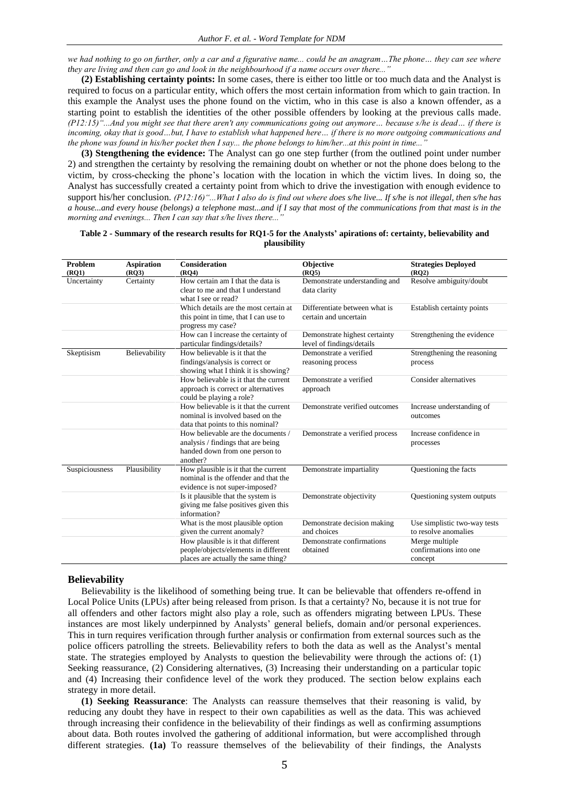*we had nothing to go on further, only a car and a figurative name... could be an anagram…The phone… they can see where*  they are living and then can go and look in the neighbourhood if a name occurs over there...

**(2) Establishing certainty points:** In some cases, there is either too little or too much data and the Analyst is required to focus on a particular entity, which offers the most certain information from which to gain traction. In this example the Analyst uses the phone found on the victim, who in this case is also a known offender, as a starting point to establish the identities of the other possible offenders by looking at the previous calls made. *(P12:15)"...And you might see that there aren't any communications going out anymore… because s/he is dead… if there is incoming, okay that is good…but, I have to establish what happened here… if there is no more outgoing communications and the phone was found in his/her pocket then I say... the phone belongs to him/her...at this point in time...* 

**(3) Stengthening the evidence:** The Analyst can go one step further (from the outlined point under number 2) and strengthen the certainty by resolving the remaining doubt on whether or not the phone does belong to the victim, by cross-checking the phone's location with the location in which the victim lives. In doing so, the Analyst has successfully created a certainty point from which to drive the investigation with enough evidence to support his/her conclusion. *(P12:16)"...What I also do is find out where does s/he live... If s/he is not illegal, then s/he has a house...and every house (belongs) a telephone mast...and if I say that most of the communications from that mast is in the morning and evenings... Then I can say that s/he lives there...* 

#### **Table 2 - Summary of the research results for RQ1-5 for the Analysts' apirations of: certainty, believability and plausibility**

| Problem        | <b>Aspiration</b> | <b>Consideration</b>                                                                                                   | <b>Objective</b>                                           | <b>Strategies Deployed</b>                           |
|----------------|-------------------|------------------------------------------------------------------------------------------------------------------------|------------------------------------------------------------|------------------------------------------------------|
| $($ RQ1 $)$    | (RO3)             | $($ RQ4 $)$                                                                                                            | (RO5)                                                      | $($ RQ2 $)$                                          |
| Uncertainty    | Certainty         | How certain am I that the data is<br>clear to me and that I understand<br>what I see or read?                          | Demonstrate understanding and<br>data clarity              | Resolve ambiguity/doubt                              |
|                |                   | Which details are the most certain at<br>this point in time, that I can use to<br>progress my case?                    | Differentiate between what is<br>certain and uncertain     | Establish certainty points                           |
|                |                   | How can I increase the certainty of<br>particular findings/details?                                                    | Demonstrate highest certainty<br>level of findings/details | Strengthening the evidence                           |
| Skeptisism     | Believability     | How believable is it that the<br>findings/analysis is correct or<br>showing what I think it is showing?                | Demonstrate a verified<br>reasoning process                | Strengthening the reasoning<br>process               |
|                |                   | How believable is it that the current<br>approach is correct or alternatives<br>could be playing a role?               | Demonstrate a verified<br>approach                         | Consider alternatives                                |
|                |                   | How believable is it that the current<br>nominal is involved based on the<br>data that points to this nominal?         | Demonstrate verified outcomes                              | Increase understanding of<br>outcomes                |
|                |                   | How believable are the documents /<br>analysis / findings that are being<br>handed down from one person to<br>another? | Demonstrate a verified process                             | Increase confidence in<br>processes                  |
| Suspiciousness | Plausibility      | How plausible is it that the current<br>nominal is the offender and that the<br>evidence is not super-imposed?         | Demonstrate impartiality                                   | Questioning the facts                                |
|                |                   | Is it plausible that the system is<br>giving me false positives given this<br>information?                             | Demonstrate objectivity                                    | Questioning system outputs                           |
|                |                   | What is the most plausible option<br>given the current anomaly?                                                        | Demonstrate decision making<br>and choices                 | Use simplistic two-way tests<br>to resolve anomalies |
|                |                   | How plausible is it that different<br>people/objects/elements in different<br>places are actually the same thing?      | Demonstrate confirmations<br>obtained                      | Merge multiple<br>confirmations into one<br>concept  |

#### **Believability**

Believability is the likelihood of something being true. It can be believable that offenders re-offend in Local Police Units (LPUs) after being released from prison. Is that a certainty? No, because it is not true for all offenders and other factors might also play a role, such as offenders migrating between LPUs. These instances are most likely underpinned by Analysts' general beliefs, domain and/or personal experiences. This in turn requires verification through further analysis or confirmation from external sources such as the police officers patrolling the streets. Believability refers to both the data as well as the Analyst's mental state. The strategies employed by Analysts to question the believability were through the actions of: (1) Seeking reassurance, (2) Considering alternatives, (3) Increasing their understanding on a particular topic and (4) Increasing their confidence level of the work they produced. The section below explains each strategy in more detail.

**(1) Seeking Reassurance**: The Analysts can reassure themselves that their reasoning is valid, by reducing any doubt they have in respect to their own capabilities as well as the data. This was achieved through increasing their confidence in the believability of their findings as well as confirming assumptions about data. Both routes involved the gathering of additional information, but were accomplished through different strategies. **(1a)** To reassure themselves of the believability of their findings, the Analysts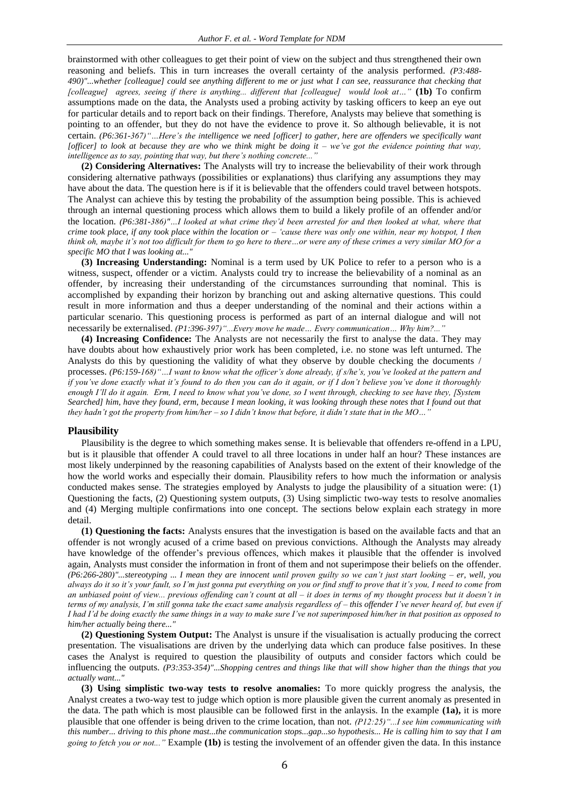brainstormed with other colleagues to get their point of view on the subject and thus strengthened their own reasoning and beliefs. This in turn increases the overall certainty of the analysis performed. *(P3:488- 490)"...whether [colleague] could see anything different to me or just what I can see, reassurance that checking that [colleague] agrees, seeing if there is anything... different that [colleague] would look at…"* **(1b)** To confirm assumptions made on the data, the Analysts used a probing activity by tasking officers to keep an eye out for particular details and to report back on their findings. Therefore, Analysts may believe that something is pointing to an offender, but they do not have the evidence to prove it. So although believable, it is not certain. *(P6:361-367)"…Here's the intelligence we need [officer] to gather, here are offenders we specifically want [officer] to look at because they are who we think might be doing it – we've got the evidence pointing that way, intelligence as to say, pointing that way, but there's nothing concrete..."*

**(2) Considering Alternatives:** The Analysts will try to increase the believability of their work through considering alternative pathways (possibilities or explanations) thus clarifying any assumptions they may have about the data. The question here is if it is believable that the offenders could travel between hotspots. The Analyst can achieve this by testing the probability of the assumption being possible. This is achieved through an internal questioning process which allows them to build a likely profile of an offender and/or the location. *(P6:381-386)"…I looked at what crime they'd been arrested for and then looked at what, where that crime took place, if any took place within the location or – 'cause there was only one within, near my hotspot, I then think oh, maybe it's not too difficult for them to go here to there…or were any of these crimes a very similar MO for a specific MO that I was looking at..."*

**(3) Increasing Understanding:** Nominal is a term used by UK Police to refer to a person who is a witness, suspect, offender or a victim. Analysts could try to increase the believability of a nominal as an offender, by increasing their understanding of the circumstances surrounding that nominal. This is accomplished by expanding their horizon by branching out and asking alternative questions. This could result in more information and thus a deeper understanding of the nominal and their actions within a particular scenario. This questioning process is performed as part of an internal dialogue and will not necessarily be externalised. *(P1:396-397)"...Every move he made… Every communication… Why him?..."*

**(4) Increasing Confidence:** The Analysts are not necessarily the first to analyse the data. They may have doubts about how exhaustively prior work has been completed, i.e. no stone was left unturned. The Analysts do this by questioning the validity of what they observe by double checking the documents / processes. *(P6:159-168)"…I want to know what the officer's done already, if s/he's, you've looked at the pattern and if you've done exactly what it's found to do then you can do it again, or if I don't believe you've done it thoroughly enough I'll do it again. Erm, I need to know what you've done, so I went through, checking to see have they, [System Searched] him, have they found, erm, because I mean looking, it was looking through these notes that I found out that they hadn't got the property from him/her – so I didn't know that before, it didn't state that in the MO…"*

#### **Plausibility**

Plausibility is the degree to which something makes sense. It is believable that offenders re-offend in a LPU, but is it plausible that offender A could travel to all three locations in under half an hour? These instances are most likely underpinned by the reasoning capabilities of Analysts based on the extent of their knowledge of the how the world works and especially their domain. Plausibility refers to how much the information or analysis conducted makes sense. The strategies employed by Analysts to judge the plausibility of a situation were: (1) Questioning the facts, (2) Questioning system outputs, (3) Using simplictic two-way tests to resolve anomalies and (4) Merging multiple confirmations into one concept. The sections below explain each strategy in more detail.

**(1) Questioning the facts:** Analysts ensures that the investigation is based on the available facts and that an offender is not wrongly acused of a crime based on previous convictions. Although the Analysts may already have knowledge of the offender's previous offences, which makes it plausible that the offender is involved again, Analysts must consider the information in front of them and not superimpose their beliefs on the offender. *(P6:266-280)"...stereotyping ... I mean they are innocent until proven guilty so we can't just start looking – er, well, you always do it so it's your fault, so I'm just gonna put everything on you or find stuff to prove that it's you, I need to come from an unbiased point of view... previous offending can't count at all – it does in terms of my thought process but it doesn't in terms of my analysis, I'm still gonna take the exact same analysis regardless of – this offender I've never heard of, but even if I had I'd be doing exactly the same things in a way to make sure I've not superimposed him/her in that position as opposed to him/her actually being there..."*

**(2) Questioning System Output:** The Analyst is unsure if the visualisation is actually producing the correct presentation. The visualisations are driven by the underlying data which can produce false positives. In these cases the Analyst is required to question the plausibility of outputs and consider factors which could be influencing the outputs. *(P3:353-354)"...Shopping centres and things like that will show higher than the things that you actually want..."*

**(3) Using simplistic two-way tests to resolve anomalies:** To more quickly progress the analysis, the Analyst creates a two-way test to judge which option is more plausible given the current anomaly as presented in the data. The path which is most plausible can be followed first in the anlaysis. In the example **(1a),** it is more plausible that one offender is being driven to the crime location, than not. *(P12:25)"...I see him communicating with this number... driving to this phone mast...the communication stops...gap...so hypothesis... He is calling him to say that I am going to fetch you or not..."* Example **(1b)** is testing the involvement of an offender given the data. In this instance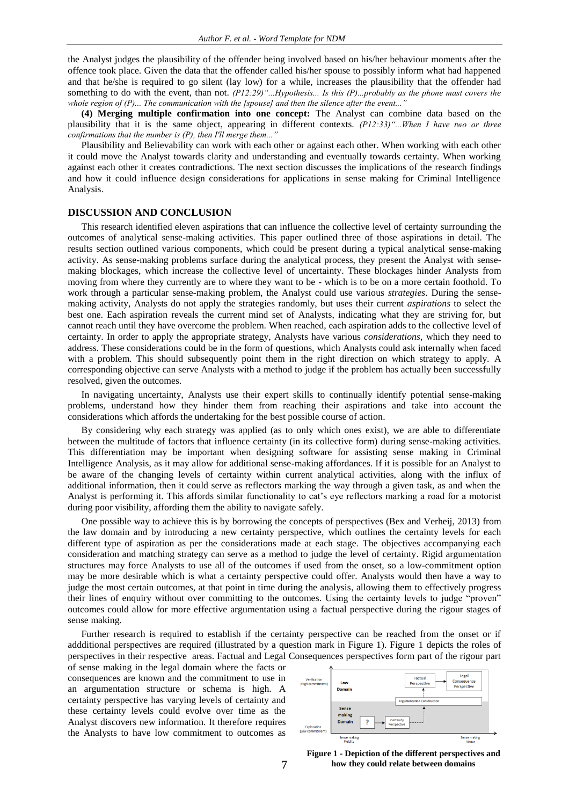the Analyst judges the plausibility of the offender being involved based on his/her behaviour moments after the offence took place. Given the data that the offender called his/her spouse to possibly inform what had happened and that he/she is required to go silent (lay low) for a while, increases the plausibility that the offender had something to do with the event, than not. *(P12:29)"...Hypothesis... Is this (P)...probably as the phone mast covers the whole region of (P)... The communication with the [spouse] and then the silence after the event..."*

**(4) Merging multiple confirmation into one concept:** The Analyst can combine data based on the plausibility that it is the same object, appearing in different contexts. *(P12:33)"...When I have two or three confirmations that the number is (P), then I'll merge them..."*

Plausibility and Believability can work with each other or against each other. When working with each other it could move the Analyst towards clarity and understanding and eventually towards certainty. When working against each other it creates contradictions. The next section discusses the implications of the research findings and how it could influence design considerations for applications in sense making for Criminal Intelligence Analysis.

#### **DISCUSSION AND CONCLUSION**

This research identified eleven aspirations that can influence the collective level of certainty surrounding the outcomes of analytical sense-making activities. This paper outlined three of those aspirations in detail. The results section outlined various components, which could be present during a typical analytical sense-making activity. As sense-making problems surface during the analytical process, they present the Analyst with sensemaking blockages, which increase the collective level of uncertainty. These blockages hinder Analysts from moving from where they currently are to where they want to be - which is to be on a more certain foothold. To work through a particular sense-making problem, the Analyst could use various *strategies*. During the sensemaking activity, Analysts do not apply the strategies randomly, but uses their current *aspirations* to select the best one. Each aspiration reveals the current mind set of Analysts, indicating what they are striving for, but cannot reach until they have overcome the problem. When reached, each aspiration adds to the collective level of certainty. In order to apply the appropriate strategy, Analysts have various *considerations*, which they need to address. These considerations could be in the form of questions, which Analysts could ask internally when faced with a problem. This should subsequently point them in the right direction on which strategy to apply. A corresponding objective can serve Analysts with a method to judge if the problem has actually been successfully resolved, given the outcomes.

In navigating uncertainty, Analysts use their expert skills to continually identify potential sense-making problems, understand how they hinder them from reaching their aspirations and take into account the considerations which affords the undertaking for the best possible course of action.

By considering why each strategy was applied (as to only which ones exist), we are able to differentiate between the multitude of factors that influence certainty (in its collective form) during sense-making activities. This differentiation may be important when designing software for assisting sense making in Criminal Intelligence Analysis, as it may allow for additional sense-making affordances. If it is possible for an Analyst to be aware of the changing levels of certainty within current analytical activities, along with the influx of additional information, then it could serve as reflectors marking the way through a given task, as and when the Analyst is performing it. This affords similar functionality to cat's eye reflectors marking a road for a motorist during poor visibility, affording them the ability to navigate safely.

One possible way to achieve this is by borrowing the concepts of perspectives (Bex and Verheij, 2013) from the law domain and by introducing a new certainty perspective, which outlines the certainty levels for each different type of aspiration as per the considerations made at each stage. The objectives accompanying each consideration and matching strategy can serve as a method to judge the level of certainty. Rigid argumentation structures may force Analysts to use all of the outcomes if used from the onset, so a low-commitment option may be more desirable which is what a certainty perspective could offer. Analysts would then have a way to judge the most certain outcomes, at that point in time during the analysis, allowing them to effectively progress their lines of enquiry without over committing to the outcomes. Using the certainty levels to judge "proven" outcomes could allow for more effective argumentation using a factual perspective during the rigour stages of sense making.

Further research is required to establish if the certainty perspective can be reached from the onset or if addditional perspectives are required (illustrated by a question mark in Figure 1). Figure 1 depicts the roles of perspectives in their respective areas. Factual and Legal Consequences perspectives form part of the rigour part

of sense making in the legal domain where the facts or consequences are known and the commitment to use in an argumentation structure or schema is high. A certainty perspective has varying levels of certainty and these certainty levels could evolve over time as the Analyst discovers new information. It therefore requires the Analysts to have low commitment to outcomes as



**Figure 1 - Depiction of the different perspectives and how they could relate between domains**